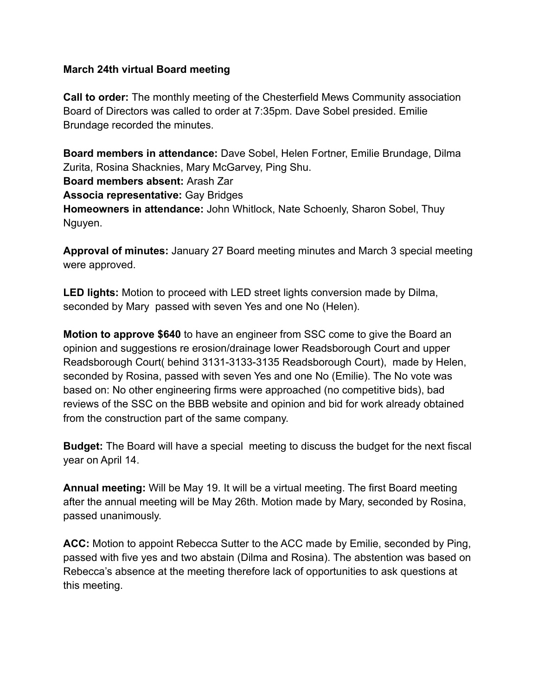## **March 24th virtual Board meeting**

**Call to order:** The monthly meeting of the Chesterfield Mews Community association Board of Directors was called to order at 7:35pm. Dave Sobel presided. Emilie Brundage recorded the minutes.

**Board members in attendance:** Dave Sobel, Helen Fortner, Emilie Brundage, Dilma Zurita, Rosina Shacknies, Mary McGarvey, Ping Shu. **Board members absent:** Arash Zar **Associa representative:** Gay Bridges **Homeowners in attendance:** John Whitlock, Nate Schoenly, Sharon Sobel, Thuy Nguyen.

**Approval of minutes:** January 27 Board meeting minutes and March 3 special meeting were approved.

**LED lights:** Motion to proceed with LED street lights conversion made by Dilma, seconded by Mary passed with seven Yes and one No (Helen).

**Motion to approve \$640** to have an engineer from SSC come to give the Board an opinion and suggestions re erosion/drainage lower Readsborough Court and upper Readsborough Court( behind 3131-3133-3135 Readsborough Court), made by Helen, seconded by Rosina, passed with seven Yes and one No (Emilie). The No vote was based on: No other engineering firms were approached (no competitive bids), bad reviews of the SSC on the BBB website and opinion and bid for work already obtained from the construction part of the same company.

**Budget:** The Board will have a special meeting to discuss the budget for the next fiscal year on April 14.

**Annual meeting:** Will be May 19. It will be a virtual meeting. The first Board meeting after the annual meeting will be May 26th. Motion made by Mary, seconded by Rosina, passed unanimously.

**ACC:** Motion to appoint Rebecca Sutter to the ACC made by Emilie, seconded by Ping, passed with five yes and two abstain (Dilma and Rosina). The abstention was based on Rebecca's absence at the meeting therefore lack of opportunities to ask questions at this meeting.